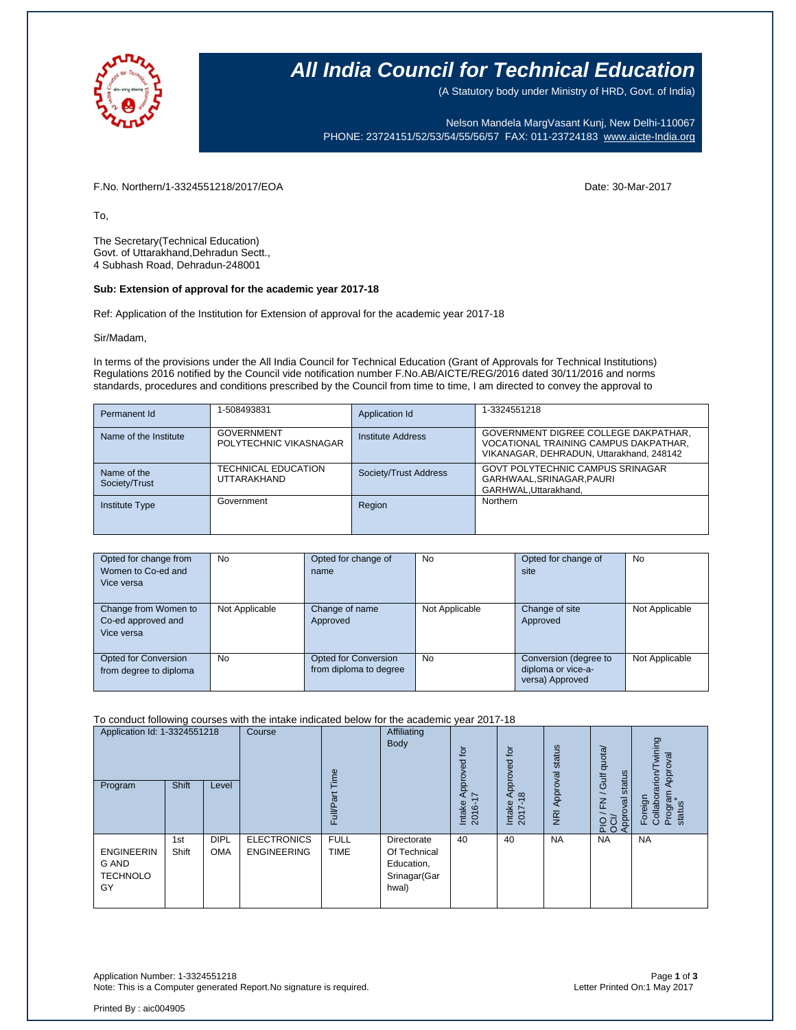

## **All India Council for Technical Education**

(A Statutory body under Ministry of HRD, Govt. of India)

Nelson Mandela MargVasant Kunj, New Delhi-110067 PHONE: 23724151/52/53/54/55/56/57 FAX: 011-23724183 [www.aicte-India.org](http://www.aicte-india.org/)

F.No. Northern/1-3324551218/2017/EOA Date: 30-Mar-2017

To,

The Secretary(Technical Education) Govt. of Uttarakhand,Dehradun Sectt., 4 Subhash Road, Dehradun-248001

### **Sub: Extension of approval for the academic year 2017-18**

Ref: Application of the Institution for Extension of approval for the academic year 2017-18

#### Sir/Madam,

In terms of the provisions under the All India Council for Technical Education (Grant of Approvals for Technical Institutions) Regulations 2016 notified by the Council vide notification number F.No.AB/AICTE/REG/2016 dated 30/11/2016 and norms standards, procedures and conditions prescribed by the Council from time to time, I am directed to convey the approval to

| Permanent Id                 | 1-508493831                                      | Application Id        | 1-3324551218                                                                                                              |
|------------------------------|--------------------------------------------------|-----------------------|---------------------------------------------------------------------------------------------------------------------------|
| Name of the Institute        | <b>GOVERNMENT</b><br>POLYTECHNIC VIKASNAGAR      | Institute Address     | GOVERNMENT DIGREE COLLEGE DAKPATHAR,<br>VOCATIONAL TRAINING CAMPUS DAKPATHAR.<br>VIKANAGAR, DEHRADUN, Uttarakhand, 248142 |
| Name of the<br>Society/Trust | <b>TECHNICAL EDUCATION</b><br><b>UTTARAKHAND</b> | Society/Trust Address | <b>GOVT POLYTECHNIC CAMPUS SRINAGAR</b><br>GARHWAAL, SRINAGAR, PAURI<br>GARHWAL.Uttarakhand.                              |
| <b>Institute Type</b>        | Government                                       | Region                | Northern                                                                                                                  |

| Opted for change from  | <b>No</b>      | Opted for change of    | <b>No</b>      | Opted for change of   | No             |
|------------------------|----------------|------------------------|----------------|-----------------------|----------------|
| Women to Co-ed and     |                | name                   |                | site                  |                |
| Vice versa             |                |                        |                |                       |                |
|                        |                |                        |                |                       |                |
| Change from Women to   | Not Applicable | Change of name         | Not Applicable | Change of site        | Not Applicable |
| Co-ed approved and     |                | Approved               |                | Approved              |                |
| Vice versa             |                |                        |                |                       |                |
|                        |                |                        |                |                       |                |
| Opted for Conversion   | No             | Opted for Conversion   | <b>No</b>      | Conversion (degree to | Not Applicable |
| from degree to diploma |                | from diploma to degree |                | diploma or vice-a-    |                |
|                        |                |                        |                | versa) Approved       |                |

#### To conduct following courses with the intake indicated below for the academic year 2017-18

| Application Id: 1-3324551218                        |              | Course<br>Time            | Affiliating<br><b>Body</b>               | tor<br>ಕ್ಷ                 | for<br>$\overline{e}$<br>Ó                                         | status                           | quota/                           | wining<br>Approval<br>$\alpha$ non $\beta$ |                                                     |                                                      |
|-----------------------------------------------------|--------------|---------------------------|------------------------------------------|----------------------------|--------------------------------------------------------------------|----------------------------------|----------------------------------|--------------------------------------------|-----------------------------------------------------|------------------------------------------------------|
| Program                                             | Shift        | Level                     |                                          | ā<br>Full/P <sub>i</sub>   |                                                                    | Approv<br>17<br>Intake<br>2016-1 | 용<br>$\infty$<br>Intake<br>2017- | Approval<br>$\overline{R}$                 | / Gulf<br>status<br>준<br>PIO/FN<br>OCI/<br>Approval | Program<br>Collabor<br>Foreign<br><b>S</b><br>statu: |
| <b>ENGINEERIN</b><br>G AND<br><b>TECHNOLO</b><br>GY | 1st<br>Shift | <b>DIPL</b><br><b>OMA</b> | <b>ELECTRONICS</b><br><b>ENGINEERING</b> | <b>FULL</b><br><b>TIME</b> | Directorate<br>Of Technical<br>Education,<br>Srinagar(Gar<br>hwal) | 40                               | 40                               | <b>NA</b>                                  | <b>NA</b>                                           | <b>NA</b>                                            |

Application Number: 1-3324551218 Page **1** of **3** Note: This is a Computer generated Report.No signature is required.

Printed By : aic004905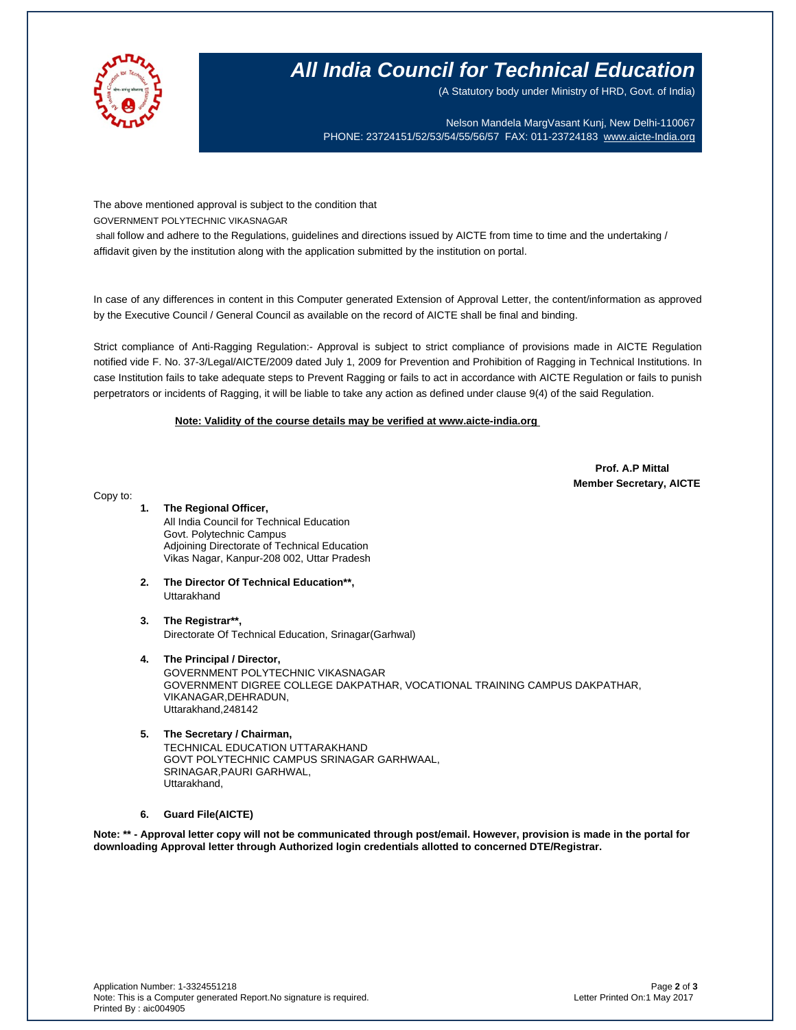

# **All India Council for Technical Education**

(A Statutory body under Ministry of HRD, Govt. of India)

Nelson Mandela MargVasant Kunj, New Delhi-110067 PHONE: 23724151/52/53/54/55/56/57 FAX: 011-23724183 [www.aicte-India.org](http://www.aicte-india.org/)

The above mentioned approval is subject to the condition that

GOVERNMENT POLYTECHNIC VIKASNAGAR

shall follow and adhere to the Regulations, guidelines and directions issued by AICTE from time to time and the undertaking / affidavit given by the institution along with the application submitted by the institution on portal.

In case of any differences in content in this Computer generated Extension of Approval Letter, the content/information as approved by the Executive Council / General Council as available on the record of AICTE shall be final and binding.

Strict compliance of Anti-Ragging Regulation:- Approval is subject to strict compliance of provisions made in AICTE Regulation notified vide F. No. 37-3/Legal/AICTE/2009 dated July 1, 2009 for Prevention and Prohibition of Ragging in Technical Institutions. In case Institution fails to take adequate steps to Prevent Ragging or fails to act in accordance with AICTE Regulation or fails to punish perpetrators or incidents of Ragging, it will be liable to take any action as defined under clause 9(4) of the said Regulation.

### **Note: Validity of the course details may be verified at www.aicte-india.org**

 **Prof. A.P Mittal Member Secretary, AICTE**

Copy to:

- **1. The Regional Officer,** All India Council for Technical Education Govt. Polytechnic Campus Adjoining Directorate of Technical Education Vikas Nagar, Kanpur-208 002, Uttar Pradesh
- **2. The Director Of Technical Education\*\*,** Uttarakhand
- **3. The Registrar\*\*,** Directorate Of Technical Education, Srinagar(Garhwal)
- **4. The Principal / Director,** GOVERNMENT POLYTECHNIC VIKASNAGAR GOVERNMENT DIGREE COLLEGE DAKPATHAR, VOCATIONAL TRAINING CAMPUS DAKPATHAR, VIKANAGAR,DEHRADUN, Uttarakhand,248142
- **5. The Secretary / Chairman,** TECHNICAL EDUCATION UTTARAKHAND GOVT POLYTECHNIC CAMPUS SRINAGAR GARHWAAL, SRINAGAR,PAURI GARHWAL, Uttarakhand,
- **6. Guard File(AICTE)**

**Note: \*\* - Approval letter copy will not be communicated through post/email. However, provision is made in the portal for downloading Approval letter through Authorized login credentials allotted to concerned DTE/Registrar.**